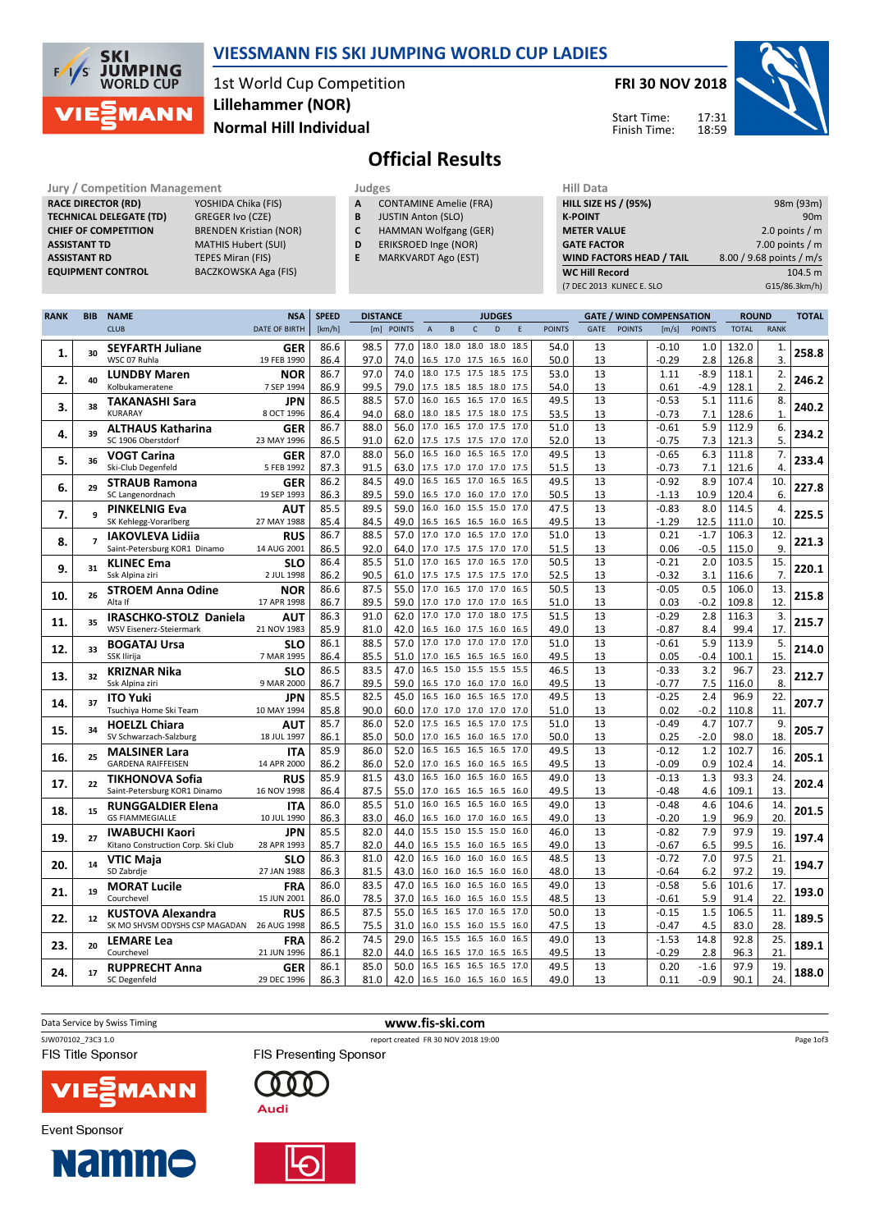



1st World Cup Competition Normal Hill Individual Lillehammer (NOR)

FRI 30 NOV 2018



Page 1of3

Start Time: Finish Time:

# Official Results

RACE DIRECTOR (RD) CHIEF OF COMPETITION

Jury / Competition Management<br> **RACE DIRECTOR (RD)** YOSHIDA Chika (FIS) **A** CONTAMINE Amelie (FRA) **HILL SIZE HILL SIZE TECHNICAL DELEGATE (TD)** GREGER Ivo (CZE)<br> **CHIEF OF COMPETITION** BRENDEN Kristian (NOR) ASSISTANT TD MATHIS Hubert (SUI) **ASSISTANT RD** TEPES Miran (FIS)<br> **EQUIPMENT CONTROL** BACZKOWSKA Aga BACZKOWSKA Aga (FIS)

|--|

- A CONTAMINE Amelie (FRA)
- **B** JUSTIN Anton (SLO)<br>**C** HAMMAN Wolfgang HAMMAN Wolfgang (GER)
- D ERIKSROED Inge (NOR)
- E MARKVARDT Ago (EST)
	-

| пш мака                         |                          |
|---------------------------------|--------------------------|
| <b>HILL SIZE HS / (95%)</b>     | 98m (93m)                |
| <b>K-POINT</b>                  | 90 <sub>m</sub>          |
| <b>METER VALUE</b>              | 2.0 points $/m$          |
| <b>GATE FACTOR</b>              | 7.00 points $/m$         |
| <b>WIND FACTORS HEAD / TAIL</b> | 8.00 / 9.68 points / m/s |
| <b>WC Hill Record</b>           | 104.5 m                  |
| (7 DEC 2013 KLINEC E. SLO       | G15/86.3km/h)            |
|                                 |                          |

| <b>RANK</b> | <b>BIB</b>               | <b>NAME</b>                        | <b>NSA</b>                | <b>SPEED</b> | <b>DISTANCE</b> |                               |                  |          |                                            | <b>JUDGES</b>            |              |               |          | <b>GATE / WIND COMPENSATION</b> |                 |                  | <b>ROUND</b> |              | <b>TOTAL</b> |
|-------------|--------------------------|------------------------------------|---------------------------|--------------|-----------------|-------------------------------|------------------|----------|--------------------------------------------|--------------------------|--------------|---------------|----------|---------------------------------|-----------------|------------------|--------------|--------------|--------------|
|             |                          | <b>CLUB</b>                        | DATE OF BIRTH             | [km/h]       |                 | [m] POINTS                    | $\boldsymbol{A}$ | $\sf{B}$ | $\mathsf{C}$                               | D                        | E            | <b>POINTS</b> | GATE     | <b>POINTS</b>                   | [m/s]           | <b>POINTS</b>    | <b>TOTAL</b> | <b>RANK</b>  |              |
|             |                          | <b>SEYFARTH Juliane</b>            | <b>GER</b>                | 86.6         | 98.5            | 77.0                          |                  |          |                                            | 18.0 18.0 18.0 18.0      | 18.5         | 54.0          | 13       |                                 | $-0.10$         | 1.0              | 132.0        | 1.           |              |
| 1.          | 30                       | WSC 07 Ruhla                       | 19 FEB 1990               | 86.4         | 97.0            | 74.0                          |                  |          |                                            | 16.5 17.0 17.5 16.5 16.0 |              | 50.0          | 13       |                                 | $-0.29$         | 2.8              | 126.8        | 3.           | 258.8        |
|             |                          | <b>LUNDBY Maren</b>                | <b>NOR</b>                | 86.7         | 97.0            | 74.0                          |                  |          |                                            | 18.0 17.5 17.5 18.5      | 17.5         | 53.0          | 13       |                                 | 1.11            | $-8.9$           | 118.1        | 2.           |              |
| 2.          | 40                       | Kolbukameratene                    | 7 SEP 1994                | 86.9         | 99.5            | 79.0                          |                  |          |                                            | 17.5 18.5 18.5 18.0 17.5 |              | 54.0          | 13       |                                 | 0.61            | $-4.9$           | 128.1        | 2.           | 246.2        |
|             |                          | <b>TAKANASHI Sara</b>              | <b>JPN</b>                | 86.5         | 88.5            | 57.0                          |                  |          |                                            | 16.0 16.5 16.5 17.0      | 16.5         | 49.5          | 13       |                                 | $-0.53$         | 5.1              | 111.6        | 8.           |              |
| 3.          | 38                       | <b>KURARAY</b>                     | 8 OCT 1996                | 86.4         | 94.0            | 68.0                          |                  |          |                                            | 18.0 18.5 17.5 18.0 17.5 |              | 53.5          | 13       |                                 | $-0.73$         | 7.1              | 128.6        | $\mathbf{1}$ | 240.2        |
|             |                          | <b>ALTHAUS Katharina</b>           | <b>GER</b>                | 86.7         | 88.0            | 56.0                          |                  |          | 17.0 16.5 17.0 17.5                        |                          | 17.0         | 51.0          | 13       |                                 | $-0.61$         | 5.9              | 112.9        | 6.           |              |
| 4.          | 39                       | SC 1906 Oberstdorf                 | 23 MAY 1996               | 86.5         | 91.0            | 62.0                          |                  |          |                                            | 17.5 17.5 17.5 17.0 17.0 |              | 52.0          | 13       |                                 | $-0.75$         | 7.3              | 121.3        | 5.           | 234.2        |
|             |                          | <b>VOGT Carina</b>                 | <b>GER</b>                | 87.0         | 88.0            | 56.0                          |                  |          |                                            | 16.5 16.0 16.5 16.5 17.0 |              | 49.5          | 13       |                                 | $-0.65$         | 6.3              | 111.8        | 7.           |              |
| 5.          | 36                       | Ski-Club Degenfeld                 | 5 FEB 1992                | 87.3         | 91.5            | 63.0                          |                  |          |                                            | 17.5 17.0 17.0 17.0 17.5 |              | 51.5          | 13       |                                 | $-0.73$         | 7.1              | 121.6        | 4.           | 233.4        |
|             |                          | <b>STRAUB Ramona</b>               | <b>GER</b>                | 86.2         | 84.5            | 49.0                          |                  |          |                                            | 16.5 16.5 17.0 16.5      | 16.5         | 49.5          | 13       |                                 | $-0.92$         | 8.9              | 107.4        | 10.          |              |
| 6.          | 29                       | SC Langenordnach                   | 19 SEP 1993               | 86.3         | 89.5            | 59.0                          |                  |          |                                            | 16.5 17.0 16.0 17.0 17.0 |              | 50.5          | 13       |                                 | $-1.13$         | 10.9             | 120.4        | 6.           | 227.8        |
|             |                          | <b>PINKELNIG Eva</b>               | <b>AUT</b>                | 85.5         | 89.5            | 59.0                          |                  |          |                                            | 16.0 16.0 15.5 15.0      | 17.0         | 47.5          | 13       |                                 | $-0.83$         | 8.0              | 114.5        | 4.           |              |
| 7.          |                          | SK Kehlegg-Vorarlberg              | 27 MAY 1988               | 85.4         | 84.5            | 49.0                          |                  |          |                                            | 16.5 16.5 16.5 16.0 16.5 |              | 49.5          | 13       |                                 | $-1.29$         | 12.5             | 111.0        | 10.          | 225.5        |
|             | $\overline{\phantom{a}}$ | <b>IAKOVLEVA Lidija</b>            | <b>RUS</b>                | 86.7         | 88.5            | 57.0                          |                  |          |                                            | 17.0 17.0 16.5 17.0 17.0 |              | 51.0          | 13       |                                 | 0.21            | $-1.7$           | 106.3        | 12.          |              |
| 8.          |                          | Saint-Petersburg KOR1 Dinamo       | 14 AUG 2001               | 86.5         | 92.0            | 64.0                          |                  |          |                                            | 17.0 17.5 17.5 17.0 17.0 |              | 51.5          | 13       |                                 | 0.06            | $-0.5$           | 115.0        | 9.           | 221.3        |
|             | 31                       | <b>KLINEC Ema</b>                  | <b>SLO</b>                | 86.4         | 85.5            | 51.0                          |                  |          |                                            | 17.0 16.5 17.0 16.5 17.0 |              | 50.5          | 13       |                                 | $-0.21$         | 2.0              | 103.5        | 15.          |              |
| 9.          |                          | Ssk Alpina ziri                    | 2 JUL 1998                | 86.2         | 90.5            | 61.0 17.5 17.5 17.5 17.5 17.0 |                  |          |                                            |                          |              | 52.5          | 13       |                                 | $-0.32$         | 3.1              | 116.6        | 7.           | 220.1        |
|             | 26                       | <b>STROEM Anna Odine</b>           | <b>NOR</b>                | 86.6         | 87.5            | 55.0                          |                  |          |                                            | 17.0 16.5 17.0 17.0 16.5 |              | 50.5          | 13       |                                 | $-0.05$         | 0.5              | 106.0        | 13.          |              |
| 10.         |                          | Alta If                            | 17 APR 1998               | 86.7         | 89.5            | 59.0                          |                  |          |                                            | 17.0 17.0 17.0 17.0 16.5 |              | 51.0          | 13       |                                 | 0.03            | $-0.2$           | 109.8        | 12.          | 215.8        |
|             | 35                       | <b>IRASCHKO-STOLZ Daniela</b>      | AUT                       | 86.3         | 91.0            | 62.0                          |                  |          |                                            | 17.0 17.0 17.0 18.0      | 17.5         | 51.5          | 13       |                                 | $-0.29$         | 2.8              | 116.3        | 3.           | 215.7        |
| 11.         |                          | <b>WSV Eisenerz-Steiermark</b>     | 21 NOV 1983               | 85.9         | 81.0            | 42.0                          |                  |          |                                            | 16.5 16.0 17.5 16.0 16.5 |              | 49.0          | 13       |                                 | $-0.87$         | 8.4              | 99.4         | 17.          |              |
| 12.         | 33                       | <b>BOGATAJ Ursa</b>                | <b>SLO</b>                | 86.1         | 88.5            | 57.0                          |                  |          |                                            | 17.0 17.0 17.0 17.0 17.0 |              | 51.0          | 13       |                                 | $-0.61$         | 5.9              | 113.9        | 5.           | 214.0        |
|             |                          | SSK Ilirija                        | 7 MAR 1995                | 86.4         | 85.5            | 51.0                          |                  |          |                                            | 17.0 16.5 16.5 16.5 16.0 |              | 49.5          | 13       |                                 | 0.05            | -0.4             | 100.1        | 15.          |              |
| 13.         | 32                       | <b>KRIZNAR Nika</b>                | <b>SLO</b>                | 86.5         | 83.5            | 47.0                          |                  |          |                                            | 16.5 15.0 15.5 15.5 15.5 |              | 46.5          | 13       |                                 | $-0.33$         | 3.2              | 96.7         | 23.          | 212.7        |
|             |                          | Ssk Alpina ziri                    | 9 MAR 2000                | 86.7         | 89.5            | 59.0                          |                  |          |                                            | 16.5 17.0 16.0 17.0 16.0 |              | 49.5          | 13       |                                 | $-0.77$         | 7.5              | 116.0        | 8.           |              |
| 14.         | 37                       | <b>ITO Yuki</b>                    | <b>JPN</b>                | 85.5         | 82.5            | 45.0                          |                  |          | 16.5 16.0 16.5 16.5                        |                          | 17.0         | 49.5          | 13       |                                 | $-0.25$         | 2.4              | 96.9         | 22.          | 207.7        |
|             |                          | Tsuchiya Home Ski Team             | 10 MAY 1994               | 85.8         | 90.0            | 60.0                          |                  |          |                                            | 17.0 17.0 17.0 17.0 17.0 |              | 51.0          | 13       |                                 | 0.02            | $-0.2$           | 110.8        | 11.          |              |
| 15.         | 34                       | <b>HOELZL Chiara</b>               | <b>AUT</b>                | 85.7         | 86.0            | 52.0                          |                  |          |                                            | 17.5 16.5 16.5 17.0 17.5 |              | 51.0          | 13       |                                 | $-0.49$         | 4.7              | 107.7        | 9.           | 205.7        |
|             |                          | SV Schwarzach-Salzburg             | 18 JUL 1997               | 86.1         | 85.0            | 50.0                          |                  |          |                                            | 17.0 16.5 16.0 16.5 17.0 |              | 50.0          | 13       |                                 | 0.25            | $-2.0$           | 98.0         | 18.          |              |
| 16.         | 25                       | <b>MALSINER Lara</b>               | <b>ITA</b>                | 85.9         | 86.0            | 52.0                          |                  |          |                                            | 16.5 16.5 16.5 16.5 17.0 |              | 49.5          | 13       |                                 | $-0.12$         | 1.2              | 102.7        | 16.          | 205.1        |
|             |                          | <b>GARDENA RAIFFEISEN</b>          | 14 APR 2000               | 86.2         | 86.0            | 52.0                          |                  |          |                                            | 17.0 16.5 16.0 16.5 16.5 |              | 49.5          | 13       |                                 | $-0.09$         | 0.9              | 102.4        | 14.          |              |
| 17.         | 22                       | <b>TIKHONOVA Sofia</b>             | <b>RUS</b>                | 85.9         | 81.5            | 43.0                          |                  |          |                                            | 16.5 16.0 16.5 16.0      | 16.5         | 49.0          | 13       |                                 | $-0.13$         | 1.3              | 93.3         | 24.          | 202.4        |
|             |                          | Saint-Petersburg KOR1 Dinamo       | 16 NOV 1998               | 86.4         | 87.5            | 55.0                          |                  |          |                                            | 17.0 16.5 16.5 16.5 16.0 |              | 49.5          | 13       |                                 | $-0.48$         | 4.6              | 109.1        | 13.          |              |
| 18.         | 15                       | <b>RUNGGALDIER Elena</b>           | <b>ITA</b>                | 86.0         | 85.5            | 51.0                          |                  |          |                                            | 16.0 16.5 16.5 16.0      | 16.5         | 49.0          | 13       |                                 | $-0.48$         | 4.6              | 104.6        | 14.          | 201.5        |
|             |                          | <b>GS FIAMMEGIALLE</b>             | 10 JUL 1990               | 86.3         | 83.0            | 46.0                          |                  |          |                                            | 16.5 16.0 17.0 16.0 16.5 |              | 49.0          | 13       |                                 | $-0.20$         | 1.9              | 96.9         | 20.          |              |
| 19.         | 27                       | <b>IWABUCHI Kaori</b>              | JPN                       | 85.5         | 82.0            | 44.0                          |                  |          |                                            | 15.5 15.0 15.5 15.0 16.0 |              | 46.0          | 13       |                                 | $-0.82$         | 7.9              | 97.9         | 19.          | 197.4        |
|             |                          | Kitano Construction Corp. Ski Club | 28 APR 1993               | 85.7         | 82.0            | 44.0                          |                  |          |                                            | 16.5 15.5 16.0 16.5 16.5 |              | 49.0          | 13       |                                 | $-0.67$         | 6.5              | 99.5         | 16.          |              |
| 20.         | 14                       | <b>VTIC Maja</b>                   | <b>SLO</b>                | 86.3         | 81.0            | 42.0                          |                  |          |                                            | 16.5 16.0 16.0 16.0 16.5 |              | 48.5          | 13       |                                 | $-0.72$         | 7.0              | 97.5         | 21.          | 194.7        |
|             |                          | SD Zabrdje                         | 27 JAN 1988               | 86.3         | 81.5            | 43.0                          |                  |          |                                            | 16.0 16.0 16.5 16.0 16.0 |              | 48.0          | 13       |                                 | $-0.64$         | 6.2              | 97.2         | 19.          |              |
| 21.         | 19                       | <b>MORAT Lucile</b>                | <b>FRA</b>                | 86.0         | 83.5            | 47.0                          |                  |          |                                            | 16.5 16.0 16.5 16.0 16.5 |              | 49.0          | 13       |                                 | $-0.58$         | 5.6              | 101.6        | 17.          | 193.0        |
|             |                          | Courchevel                         | 15 JUN 2001               | 86.0         | 78.5            | 37.0                          |                  |          | 16.5 16.0 16.5 16.0                        |                          | 15.5         | 48.5          | 13       |                                 | $-0.61$         | 5.9              | 91.4         | 22.          |              |
| 22.         | $12$                     | <b>KUSTOVA Alexandra</b>           | <b>RUS</b>                | 86.5         | 87.5            | 55.0                          |                  |          |                                            | 16.5 16.5 17.0 16.5      | 17.0         | 50.0          | 13       |                                 | $-0.15$         | 1.5              | 106.5        | 11.          | 189.5        |
|             |                          | SK MO SHVSM ODYSHS CSP MAGADAN     | 26 AUG 1998               | 86.5         | 75.5            | 31.0                          |                  |          |                                            | 16.0 15.5 16.0 15.5 16.0 |              | 47.5          | 13       |                                 | $-0.47$         | 4.5              | 83.0         | 28.          |              |
| 23.         | 20                       | <b>LEMARE Lea</b>                  | <b>FRA</b>                | 86.2         | 74.5            | 29.0                          |                  |          |                                            | 16.5 15.5 16.5 16.0      | 16.5         | 49.0          | 13       |                                 | $-1.53$         | 14.8             | 92.8         | 25.          | 189.1        |
|             |                          | Courchevel                         | 21 JUN 1996               | 86.1         | 82.0<br>85.0    | 44.0<br>50.0                  |                  |          | 16.5 16.5 17.0 16.5<br>16.5 16.5 16.5 16.5 |                          | 16.5<br>17.0 | 49.5<br>49.5  | 13<br>13 |                                 | $-0.29$<br>0.20 | 2.8              | 96.3<br>97.9 | 21.<br>19.   |              |
| 24.         | 17                       | <b>RUPPRECHT Anna</b>              | <b>GER</b><br>29 DEC 1996 | 86.1<br>86.3 | 81.0            | 42.0 16.5 16.0 16.5 16.0 16.5 |                  |          |                                            |                          |              | 49.0          | 13       |                                 | 0.11            | $-1.6$<br>$-0.9$ | 90.1         | 24.          | 188.0        |
|             |                          | SC Degenfeld                       |                           |              |                 |                               |                  |          |                                            |                          |              |               |          |                                 |                 |                  |              |              |              |

Data Service by Swiss Timing **WWW.fis-ski.com** SJW070102\_73C3 1.0 report created FR 30 NOV 2018 19:00

**Event Sponsor** 



**Namme** 

**FIS Presenting Sponsor** 



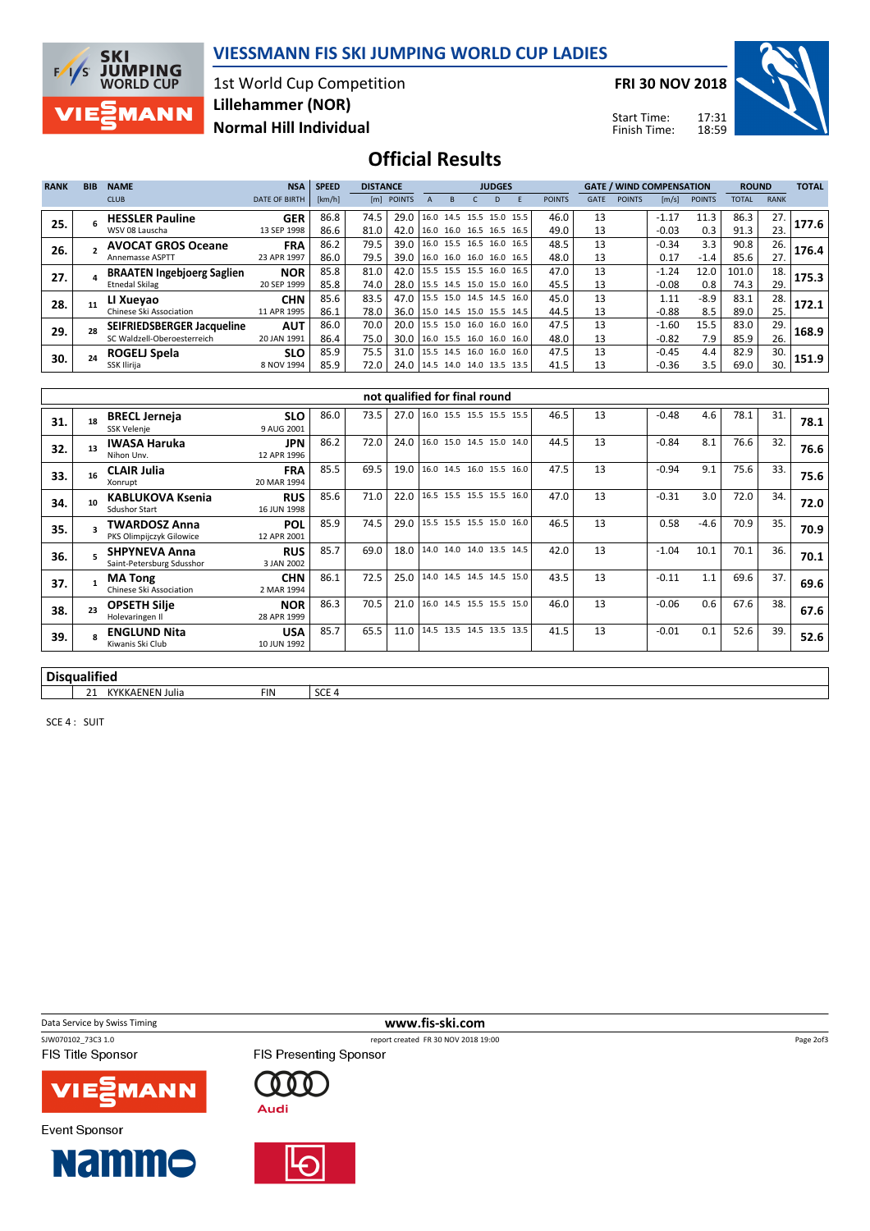

1st World Cup Competition Normal Hill Individual Lillehammer (NOR)

FRI 30 NOV 2018

Start Time: Finish Time:

18:59



### Official Results

| <b>RANK</b> | <b>BIB</b> | <b>NAME</b>                       | <b>NSA</b>           | <b>SPEED</b> | <b>DISTANCE</b> |                                 |  |                          | <b>JUDGES</b> |  |               |             |               | <b>GATE / WIND COMPENSATION</b> |               | <b>ROUND</b> |             | <b>TOTAL</b> |
|-------------|------------|-----------------------------------|----------------------|--------------|-----------------|---------------------------------|--|--------------------------|---------------|--|---------------|-------------|---------------|---------------------------------|---------------|--------------|-------------|--------------|
|             |            | <b>CLUB</b>                       | <b>DATE OF BIRTH</b> | [km/h]       |                 | [m] POINTS                      |  |                          | D             |  | <b>POINTS</b> | <b>GATE</b> | <b>POINTS</b> | $\lfloor m/s \rfloor$           | <b>POINTS</b> | TOTAL        | <b>RANK</b> |              |
| 25.         |            | <b>HESSLER Pauline</b>            | <b>GER</b>           | 86.8         | 74.5            | 29.0                            |  | 16.0 14.5 15.5 15.0 15.5 |               |  | 46.0          | 13          |               | $-1.17$                         | 11.3          | 86.3         | 27.         | 177.6        |
|             |            | WSV 08 Lauscha                    | 13 SEP 1998          | 86.6         | 81.0            | 42.0                            |  | 16.0 16.0 16.5 16.5 16.5 |               |  | 49.0          | 13          |               | $-0.03$                         | 0.3           | 91.3         | 23.         |              |
| 26.         |            | <b>AVOCAT GROS Oceane</b>         | <b>FRA</b>           | 86.2         | 79.5            | 39.0                            |  | 16.0 15.5 16.5 16.0 16.5 |               |  | 48.5          | 13          |               | $-0.34$                         | 3.3           | 90.8         | 26.         | 176.4        |
|             |            | <b>Annemasse ASPTT</b>            | 23 APR 1997          | 86.0         | 79.5            | 39.0                            |  | 16.0 16.0 16.0 16.0 16.5 |               |  | 48.0          | 13          |               | 0.17                            | $-1.4$        | 85.6         | 27.         |              |
| 27.         |            | <b>BRAATEN Ingebjoerg Saglien</b> | <b>NOR</b>           | 85.8         | 81.0            | 42.0                            |  | 15.5 15.5 15.5 16.0 16.5 |               |  | 47.0          | 13          |               | $-1.24$                         | 12.0          | 101.0        | 18.         | 175.3        |
|             |            | <b>Etnedal Skilag</b>             | 20 SEP 1999          | 85.8         | 74.0            | 28.0   15.5 14.5 15.0 15.0 16.0 |  |                          |               |  | 45.5          | 13          |               | $-0.08$                         | 0.8           | 74.3         | 29.         |              |
| 28.         |            | LI Xueyao                         | <b>CHN</b>           | 85.6         | 83.5            | 47.0 15.5 15.0 14.5 14.5 16.0   |  |                          |               |  | 45.0          | 13          |               | 1.11                            | $-8.9$        | 83.1         | 28.         | 172.1        |
|             |            | Chinese Ski Association           | 11 APR 1995          | 86.1         | 78.0            | 36.0   15.0 14.5 15.0 15.5 14.5 |  |                          |               |  | 44.5          | 13          |               | $-0.88$                         | 8.5           | 89.0         | 25.         |              |
| 29.         |            | <b>SEIFRIEDSBERGER Jacqueline</b> | <b>AUT</b>           | 86.0         | 70.0            | 20.0                            |  | 15.5 15.0 16.0 16.0 16.0 |               |  | 47.5          | 13          |               | $-1.60$                         | 15.5          | 83.0         | 29.         | 168.9        |
|             |            | SC Waldzell-Oberoesterreich       | 20 JAN 1991          | 86.4         | 75.0            | 30.0                            |  | 16.0 15.5 16.0 16.0 16.0 |               |  | 48.0          | 13          |               | $-0.82$                         | 7.9           | 85.9         | 26.         |              |
| 30.         |            | ROGELJ Spela                      | <b>SLO</b>           | 85.9         | 75.5            | 31.0                            |  | 15.5 14.5 16.0 16.0 16.0 |               |  | 47.5          | 13          |               | $-0.45$                         | 4.4           | 82.9         | 30.         | 151.9        |
|             |            | SSK Ilirija                       | 8 NOV 1994           | 85.9         | 72.0            | 24.0   14.5 14.0 14.0 13.5 13.5 |  |                          |               |  | 41.5          | 13          |               | $-0.36$                         | 3.5           | 69.0         | 30.         |              |

|          | not qualified for final round |                                                   |                           |      |      |      |                          |  |  |  |      |    |         |        |      |     |      |
|----------|-------------------------------|---------------------------------------------------|---------------------------|------|------|------|--------------------------|--|--|--|------|----|---------|--------|------|-----|------|
| 31.      |                               | <b>BRECL Jerneja</b><br>SSK Velenje               | <b>SLO</b><br>9 AUG 2001  | 86.0 | 73.5 | 27.0 | 16.0 15.5 15.5 15.5 15.5 |  |  |  | 46.5 | 13 | $-0.48$ | 4.6    | 78.1 | 31. | 78.1 |
| 32.      | 13                            | <b>IWASA Haruka</b><br>Nihon Unv.                 | <b>JPN</b><br>12 APR 1996 | 86.2 | 72.0 | 24.0 | 16.0 15.0 14.5 15.0 14.0 |  |  |  | 44.5 | 13 | $-0.84$ | 8.1    | 76.6 | 32. | 76.6 |
| 33.      | 16                            | <b>CLAIR Julia</b><br>Xonrupt                     | <b>FRA</b><br>20 MAR 1994 | 85.5 | 69.5 | 19.0 | 16.0 14.5 16.0 15.5 16.0 |  |  |  | 47.5 | 13 | $-0.94$ | 9.1    | 75.6 | 33. | 75.6 |
| 34.      | 10                            | <b>KABLUKOVA Ksenia</b><br><b>Sdushor Start</b>   | <b>RUS</b><br>16 JUN 1998 | 85.6 | 71.0 | 22.0 | 16.5 15.5 15.5 15.5 16.0 |  |  |  | 47.0 | 13 | $-0.31$ | 3.0    | 72.0 | 34. | 72.0 |
| 35.      |                               | <b>TWARDOSZ Anna</b><br>PKS Olimpijczyk Gilowice  | <b>POL</b><br>12 APR 2001 | 85.9 | 74.5 | 29.0 | 15.5 15.5 15.5 15.0 16.0 |  |  |  | 46.5 | 13 | 0.58    | $-4.6$ | 70.9 | 35. | 70.9 |
| 36.      |                               | <b>SHPYNEVA Anna</b><br>Saint-Petersburg Sdusshor | <b>RUS</b><br>3 JAN 2002  | 85.7 | 69.0 | 18.0 | 14.0 14.0 14.0 13.5 14.5 |  |  |  | 42.0 | 13 | $-1.04$ | 10.1   | 70.1 | 36. | 70.1 |
| 37.      |                               | <b>MA Tong</b><br>Chinese Ski Association         | <b>CHN</b><br>2 MAR 1994  | 86.1 | 72.5 | 25.0 | 14.0 14.5 14.5 14.5 15.0 |  |  |  | 43.5 | 13 | $-0.11$ | 1.1    | 69.6 | 37. | 69.6 |
| 38.      | 23                            | <b>OPSETH Silje</b><br>Holevaringen II            | <b>NOR</b><br>28 APR 1999 | 86.3 | 70.5 | 21.0 | 16.0 14.5 15.5 15.5 15.0 |  |  |  | 46.0 | 13 | $-0.06$ | 0.6    | 67.6 | 38. | 67.6 |
| 39.      |                               | <b>ENGLUND Nita</b><br>Kiwanis Ski Club           | <b>USA</b><br>10 JUN 1992 | 85.7 | 65.5 | 11.0 | 14.5 13.5 14.5 13.5 13.5 |  |  |  | 41.5 | 13 | $-0.01$ | 0.1    | 52.6 | 39. | 52.6 |
| $ \cdot$ |                               |                                                   |                           |      |      |      |                          |  |  |  |      |    |         |        |      |     |      |

report created FR 30 NOV 2018 19:00

#### Disqualified

**SKI** 

 $F/1/S$ 

**JUMPING**<br>WORLD CUP

**MANN** 

21 KYKKAENEN Julia FIN SCE 4

SCE 4 : SUIT

Data Service by Swiss Timing **www.fis-ski.com**<br>
SWO70102\_73C3\_1.0<br>
The port created FR\_30\_NOV\_2018\_19

FIS Title Sponsor

**Event Sponsor** 



**Namme** 

FIS Presenting Sponsor 0 O O **Audi** 





Page 2of3